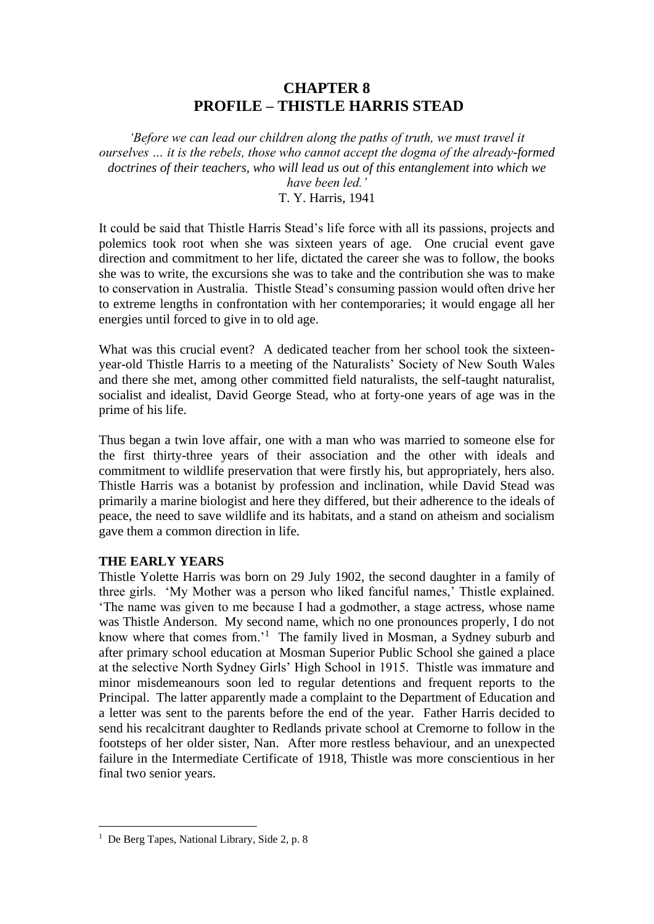# **CHAPTER 8 PROFILE – THISTLE HARRIS STEAD**

*'Before we can lead our children along the paths of truth, we must travel it ourselves … it is the rebels, those who cannot accept the dogma of the already-formed doctrines of their teachers, who will lead us out of this entanglement into which we have been led.'*

T. Y. Harris, 1941

It could be said that Thistle Harris Stead's life force with all its passions, projects and polemics took root when she was sixteen years of age. One crucial event gave direction and commitment to her life, dictated the career she was to follow, the books she was to write, the excursions she was to take and the contribution she was to make to conservation in Australia. Thistle Stead's consuming passion would often drive her to extreme lengths in confrontation with her contemporaries; it would engage all her energies until forced to give in to old age.

What was this crucial event? A dedicated teacher from her school took the sixteenyear-old Thistle Harris to a meeting of the Naturalists' Society of New South Wales and there she met, among other committed field naturalists, the self-taught naturalist, socialist and idealist, David George Stead, who at forty-one years of age was in the prime of his life.

Thus began a twin love affair, one with a man who was married to someone else for the first thirty-three years of their association and the other with ideals and commitment to wildlife preservation that were firstly his, but appropriately, hers also. Thistle Harris was a botanist by profession and inclination, while David Stead was primarily a marine biologist and here they differed, but their adherence to the ideals of peace, the need to save wildlife and its habitats, and a stand on atheism and socialism gave them a common direction in life.

#### **THE EARLY YEARS**

Thistle Yolette Harris was born on 29 July 1902, the second daughter in a family of three girls. 'My Mother was a person who liked fanciful names,' Thistle explained. 'The name was given to me because I had a godmother, a stage actress, whose name was Thistle Anderson. My second name, which no one pronounces properly, I do not know where that comes from.<sup>1</sup> The family lived in Mosman, a Sydney suburb and after primary school education at Mosman Superior Public School she gained a place at the selective North Sydney Girls' High School in 1915. Thistle was immature and minor misdemeanours soon led to regular detentions and frequent reports to the Principal. The latter apparently made a complaint to the Department of Education and a letter was sent to the parents before the end of the year. Father Harris decided to send his recalcitrant daughter to Redlands private school at Cremorne to follow in the footsteps of her older sister, Nan. After more restless behaviour, and an unexpected failure in the Intermediate Certificate of 1918, Thistle was more conscientious in her final two senior years.

<sup>&</sup>lt;sup>1</sup> De Berg Tapes, National Library, Side 2, p. 8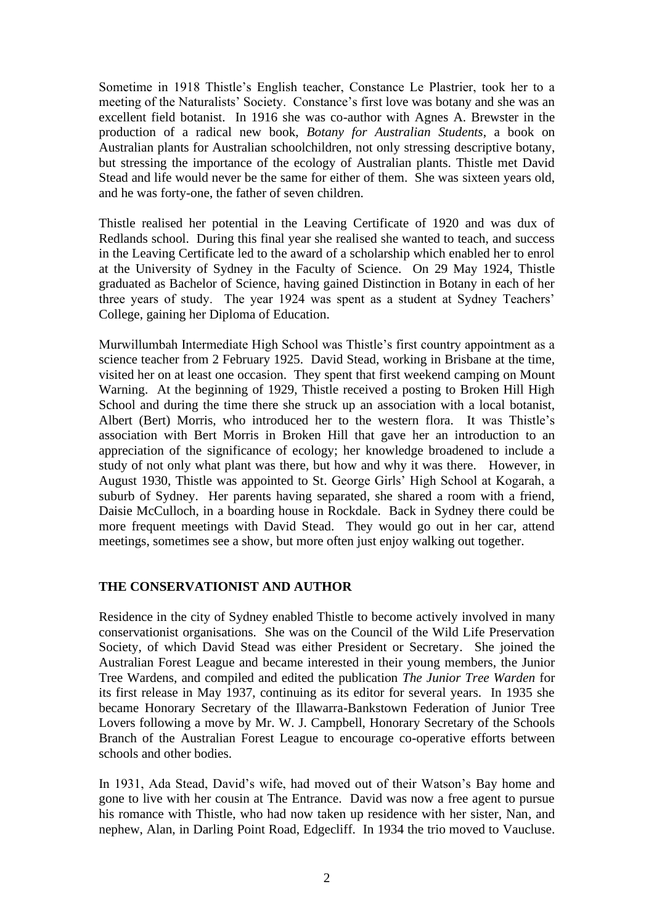Sometime in 1918 Thistle's English teacher, Constance Le Plastrier, took her to a meeting of the Naturalists' Society. Constance's first love was botany and she was an excellent field botanist. In 1916 she was co-author with Agnes A. Brewster in the production of a radical new book, *Botany for Australian Students*, a book on Australian plants for Australian schoolchildren, not only stressing descriptive botany, but stressing the importance of the ecology of Australian plants. Thistle met David Stead and life would never be the same for either of them. She was sixteen years old, and he was forty-one, the father of seven children.

Thistle realised her potential in the Leaving Certificate of 1920 and was dux of Redlands school. During this final year she realised she wanted to teach, and success in the Leaving Certificate led to the award of a scholarship which enabled her to enrol at the University of Sydney in the Faculty of Science. On 29 May 1924, Thistle graduated as Bachelor of Science, having gained Distinction in Botany in each of her three years of study. The year 1924 was spent as a student at Sydney Teachers' College, gaining her Diploma of Education.

Murwillumbah Intermediate High School was Thistle's first country appointment as a science teacher from 2 February 1925. David Stead, working in Brisbane at the time, visited her on at least one occasion. They spent that first weekend camping on Mount Warning. At the beginning of 1929, Thistle received a posting to Broken Hill High School and during the time there she struck up an association with a local botanist, Albert (Bert) Morris, who introduced her to the western flora. It was Thistle's association with Bert Morris in Broken Hill that gave her an introduction to an appreciation of the significance of ecology; her knowledge broadened to include a study of not only what plant was there, but how and why it was there. However, in August 1930, Thistle was appointed to St. George Girls' High School at Kogarah, a suburb of Sydney. Her parents having separated, she shared a room with a friend, Daisie McCulloch, in a boarding house in Rockdale. Back in Sydney there could be more frequent meetings with David Stead. They would go out in her car, attend meetings, sometimes see a show, but more often just enjoy walking out together.

# **THE CONSERVATIONIST AND AUTHOR**

Residence in the city of Sydney enabled Thistle to become actively involved in many conservationist organisations. She was on the Council of the Wild Life Preservation Society, of which David Stead was either President or Secretary. She joined the Australian Forest League and became interested in their young members, the Junior Tree Wardens, and compiled and edited the publication *The Junior Tree Warden* for its first release in May 1937, continuing as its editor for several years. In 1935 she became Honorary Secretary of the Illawarra-Bankstown Federation of Junior Tree Lovers following a move by Mr. W. J. Campbell, Honorary Secretary of the Schools Branch of the Australian Forest League to encourage co-operative efforts between schools and other bodies.

In 1931, Ada Stead, David's wife, had moved out of their Watson's Bay home and gone to live with her cousin at The Entrance. David was now a free agent to pursue his romance with Thistle, who had now taken up residence with her sister, Nan, and nephew, Alan, in Darling Point Road, Edgecliff. In 1934 the trio moved to Vaucluse.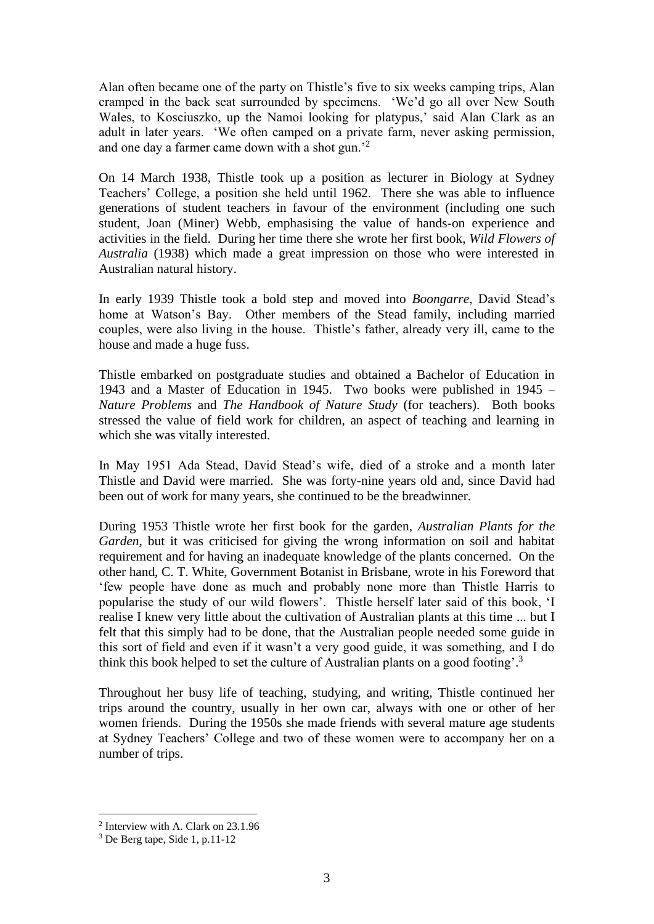Alan often became one of the party on Thistle's five to six weeks camping trips, Alan cramped in the back seat surrounded by specimens. 'We'd go all over New South Wales, to Kosciuszko, up the Namoi looking for platypus,' said Alan Clark as an adult in later years. 'We often camped on a private farm, never asking permission, and one day a farmer came down with a shot gun.'<sup>2</sup>

On 14 March 1938, Thistle took up a position as lecturer in Biology at Sydney Teachers' College, a position she held until 1962. There she was able to influence generations of student teachers in favour of the environment (including one such student, Joan (Miner) Webb, emphasising the value of hands-on experience and activities in the field. During her time there she wrote her first book, *Wild Flowers of Australia* (1938) which made a great impression on those who were interested in Australian natural history.

In early 1939 Thistle took a bold step and moved into *Boongarre*, David Stead's home at Watson's Bay. Other members of the Stead family, including married couples, were also living in the house. Thistle's father, already very ill, came to the house and made a huge fuss.

Thistle embarked on postgraduate studies and obtained a Bachelor of Education in 1943 and a Master of Education in 1945. Two books were published in 1945 – *Nature Problems* and *The Handbook of Nature Study* (for teachers). Both books stressed the value of field work for children, an aspect of teaching and learning in which she was vitally interested.

In May 1951 Ada Stead, David Stead's wife, died of a stroke and a month later Thistle and David were married. She was forty-nine years old and, since David had been out of work for many years, she continued to be the breadwinner.

During 1953 Thistle wrote her first book for the garden, *Australian Plants for the Garden*, but it was criticised for giving the wrong information on soil and habitat requirement and for having an inadequate knowledge of the plants concerned. On the other hand, C. T. White, Government Botanist in Brisbane, wrote in his Foreword that 'few people have done as much and probably none more than Thistle Harris to popularise the study of our wild flowers'. Thistle herself later said of this book, 'I realise I knew very little about the cultivation of Australian plants at this time ... but I felt that this simply had to be done, that the Australian people needed some guide in this sort of field and even if it wasn't a very good guide, it was something, and I do think this book helped to set the culture of Australian plants on a good footing'.<sup>3</sup>

Throughout her busy life of teaching, studying, and writing, Thistle continued her trips around the country, usually in her own car, always with one or other of her women friends. During the 1950s she made friends with several mature age students at Sydney Teachers' College and two of these women were to accompany her on a number of trips.

<sup>2</sup> Interview with A. Clark on 23.1.96

<sup>3</sup> De Berg tape, Side 1, p.11-12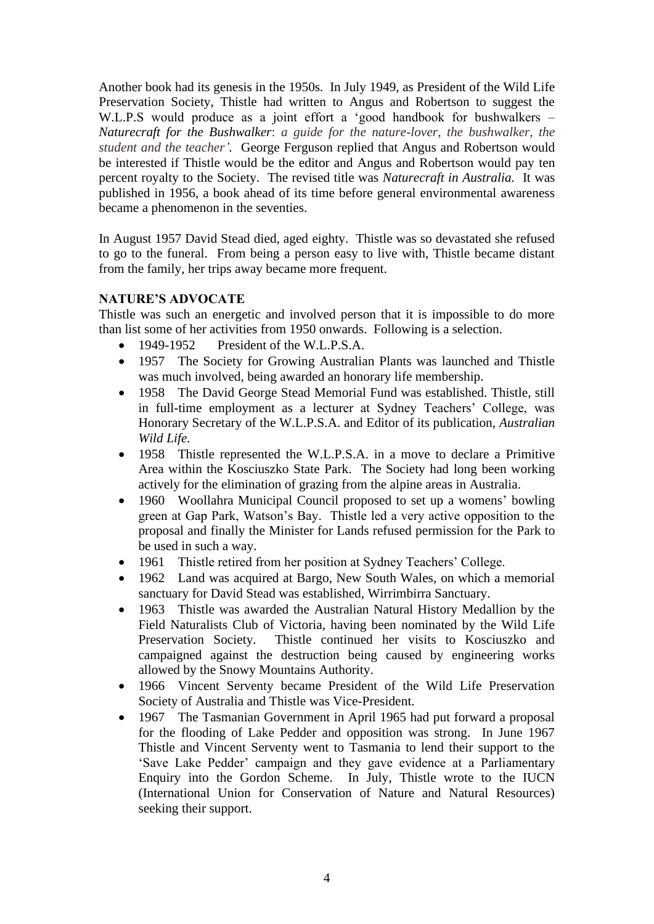Another book had its genesis in the 1950s. In July 1949, as President of the Wild Life Preservation Society, Thistle had written to Angus and Robertson to suggest the W.L.P.S would produce as a joint effort a 'good handbook for bushwalkers – *Naturecraft for the Bushwalker*: *a guide for the nature-lover, the bushwalker, the student and the teacher'.* George Ferguson replied that Angus and Robertson would be interested if Thistle would be the editor and Angus and Robertson would pay ten percent royalty to the Society. The revised title was *Naturecraft in Australia.* It was published in 1956, a book ahead of its time before general environmental awareness became a phenomenon in the seventies.

In August 1957 David Stead died, aged eighty. Thistle was so devastated she refused to go to the funeral. From being a person easy to live with, Thistle became distant from the family, her trips away became more frequent.

## **NATURE'S ADVOCATE**

Thistle was such an energetic and involved person that it is impossible to do more than list some of her activities from 1950 onwards. Following is a selection.

- 1949-1952 President of the W.L.P.S.A.
- 1957 The Society for Growing Australian Plants was launched and Thistle was much involved, being awarded an honorary life membership.
- 1958 The David George Stead Memorial Fund was established. Thistle, still in full-time employment as a lecturer at Sydney Teachers' College, was Honorary Secretary of the W.L.P.S.A. and Editor of its publication, *Australian Wild Life.*
- 1958 Thistle represented the W.L.P.S.A. in a move to declare a Primitive Area within the Kosciuszko State Park. The Society had long been working actively for the elimination of grazing from the alpine areas in Australia.
- 1960 Woollahra Municipal Council proposed to set up a womens' bowling green at Gap Park, Watson's Bay. Thistle led a very active opposition to the proposal and finally the Minister for Lands refused permission for the Park to be used in such a way.
- 1961 Thistle retired from her position at Sydney Teachers' College.
- 1962 Land was acquired at Bargo, New South Wales, on which a memorial sanctuary for David Stead was established, Wirrimbirra Sanctuary.
- 1963 Thistle was awarded the Australian Natural History Medallion by the Field Naturalists Club of Victoria, having been nominated by the Wild Life Preservation Society. Thistle continued her visits to Kosciuszko and campaigned against the destruction being caused by engineering works allowed by the Snowy Mountains Authority.
- 1966 Vincent Serventy became President of the Wild Life Preservation Society of Australia and Thistle was Vice-President.
- 1967 The Tasmanian Government in April 1965 had put forward a proposal for the flooding of Lake Pedder and opposition was strong. In June 1967 Thistle and Vincent Serventy went to Tasmania to lend their support to the 'Save Lake Pedder' campaign and they gave evidence at a Parliamentary Enquiry into the Gordon Scheme. In July, Thistle wrote to the IUCN (International Union for Conservation of Nature and Natural Resources) seeking their support.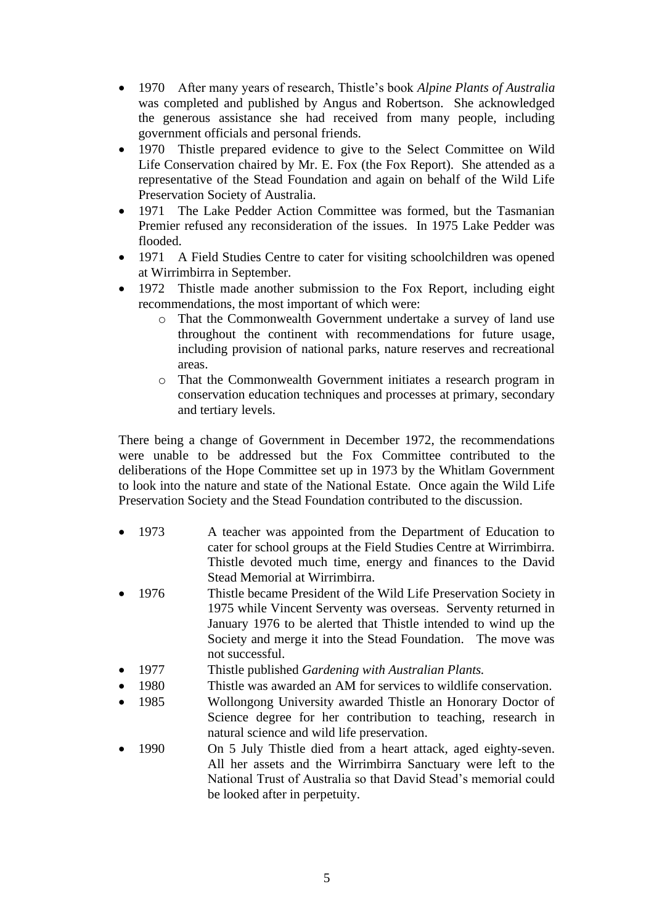- 1970 After many years of research, Thistle's book *Alpine Plants of Australia* was completed and published by Angus and Robertson. She acknowledged the generous assistance she had received from many people, including government officials and personal friends.
- 1970 Thistle prepared evidence to give to the Select Committee on Wild Life Conservation chaired by Mr. E. Fox (the Fox Report). She attended as a representative of the Stead Foundation and again on behalf of the Wild Life Preservation Society of Australia.
- 1971 The Lake Pedder Action Committee was formed, but the Tasmanian Premier refused any reconsideration of the issues. In 1975 Lake Pedder was flooded.
- 1971 A Field Studies Centre to cater for visiting schoolchildren was opened at Wirrimbirra in September.
- 1972 Thistle made another submission to the Fox Report, including eight recommendations, the most important of which were:
	- o That the Commonwealth Government undertake a survey of land use throughout the continent with recommendations for future usage, including provision of national parks, nature reserves and recreational areas.
	- o That the Commonwealth Government initiates a research program in conservation education techniques and processes at primary, secondary and tertiary levels.

There being a change of Government in December 1972, the recommendations were unable to be addressed but the Fox Committee contributed to the deliberations of the Hope Committee set up in 1973 by the Whitlam Government to look into the nature and state of the National Estate. Once again the Wild Life Preservation Society and the Stead Foundation contributed to the discussion.

- 1973 A teacher was appointed from the Department of Education to cater for school groups at the Field Studies Centre at Wirrimbirra. Thistle devoted much time, energy and finances to the David Stead Memorial at Wirrimbirra.
- 1976 Thistle became President of the Wild Life Preservation Society in 1975 while Vincent Serventy was overseas. Serventy returned in January 1976 to be alerted that Thistle intended to wind up the Society and merge it into the Stead Foundation. The move was not successful.
- 1977 Thistle published *Gardening with Australian Plants.*
- 1980 Thistle was awarded an AM for services to wildlife conservation.
- 1985 Wollongong University awarded Thistle an Honorary Doctor of Science degree for her contribution to teaching, research in natural science and wild life preservation.
- 1990 On 5 July Thistle died from a heart attack, aged eighty-seven. All her assets and the Wirrimbirra Sanctuary were left to the National Trust of Australia so that David Stead's memorial could be looked after in perpetuity.